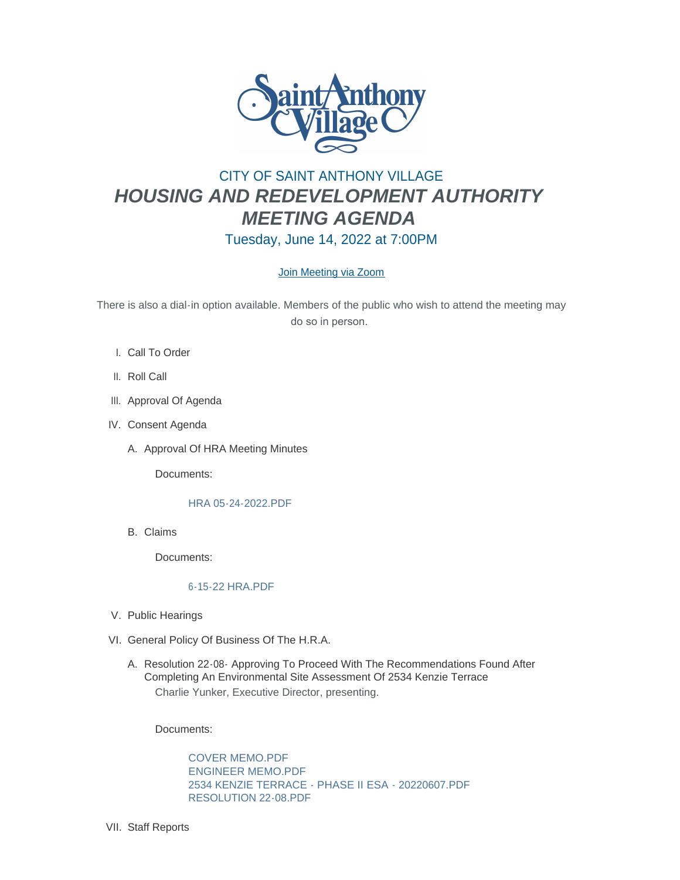

# CITY OF SAINT ANTHONY VILLAGE *HOUSING AND REDEVELOPMENT AUTHORITY MEETING AGENDA* Tuesday, June 14, 2022 at 7:00PM

## [Join Meeting via Zoom](https://www.savmn.com/Calendar.aspx?EID=1574)

There is also a dial-in option available. Members of the public who wish to attend the meeting may do so in person.

- l. Call To Order
- II. Roll Call
- III. Approval Of Agenda
- IV. Consent Agenda
	- A. Approval Of HRA Meeting Minutes

Documents:

### [HRA 05-24-2022.PDF](http://www.savmn.com/AgendaCenter/ViewFile/Item/1070?fileID=7046)

Claims B.

Documents:

### [6-15-22 HRA.PDF](http://www.savmn.com/AgendaCenter/ViewFile/Item/1069?fileID=7045)

- V. Public Hearings
- VI. General Policy Of Business Of The H.R.A.
	- A. Resolution 22-08- Approving To Proceed With The Recommendations Found After Completing An Environmental Site Assessment Of 2534 Kenzie Terrace Charlie Yunker, Executive Director, presenting.

Documents:

[COVER MEMO.PDF](http://www.savmn.com/AgendaCenter/ViewFile/Item/1074?fileID=7066) [ENGINEER MEMO.PDF](http://www.savmn.com/AgendaCenter/ViewFile/Item/1074?fileID=7060) [2534 KENZIE TERRACE - PHASE II ESA - 20220607.PDF](http://www.savmn.com/AgendaCenter/ViewFile/Item/1074?fileID=7061) [RESOLUTION 22-08.PDF](http://www.savmn.com/AgendaCenter/ViewFile/Item/1074?fileID=7067)

VII. Staff Reports